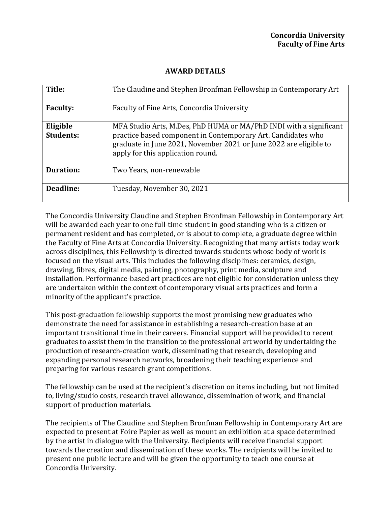## **AWARD DETAILS**

| Title:                       | The Claudine and Stephen Bronfman Fellowship in Contemporary Art                                                                                                                                                                             |
|------------------------------|----------------------------------------------------------------------------------------------------------------------------------------------------------------------------------------------------------------------------------------------|
| <b>Faculty:</b>              | Faculty of Fine Arts, Concordia University                                                                                                                                                                                                   |
| Eligible<br><b>Students:</b> | MFA Studio Arts, M.Des, PhD HUMA or MA/PhD INDI with a significant<br>practice based component in Contemporary Art. Candidates who<br>graduate in June 2021, November 2021 or June 2022 are eligible to<br>apply for this application round. |
| <b>Duration:</b>             | Two Years, non-renewable                                                                                                                                                                                                                     |
| Deadline:                    | Tuesday, November 30, 2021                                                                                                                                                                                                                   |

The Concordia University Claudine and Stephen Bronfman Fellowship in Contemporary Art will be awarded each year to one full-time student in good standing who is a citizen or permanent resident and has completed, or is about to complete, a graduate degree within the Faculty of Fine Arts at Concordia University. Recognizing that many artists today work across disciplines, this Fellowship is directed towards students whose body of work is focused on the visual arts. This includes the following disciplines: ceramics, design, drawing, fibres, digital media, painting, photography, print media, sculpture and installation. Performance-based art practices are not eligible for consideration unless they are undertaken within the context of contemporary visual arts practices and form a minority of the applicant's practice.

This post-graduation fellowship supports the most promising new graduates who demonstrate the need for assistance in establishing a research-creation base at an important transitional time in their careers. Financial support will be provided to recent graduates to assist them in the transition to the professional art world by undertaking the production of research-creation work, disseminating that research, developing and expanding personal research networks, broadening their teaching experience and preparing for various research grant competitions.

The fellowship can be used at the recipient's discretion on items including, but not limited to, living/studio costs, research travel allowance, dissemination of work, and financial support of production materials.

The recipients of The Claudine and Stephen Bronfman Fellowship in Contemporary Art are expected to present at Foire Papier as well as mount an exhibition at a space determined by the artist in dialogue with the University. Recipients will receive financial support towards the creation and dissemination of these works. The recipients will be invited to present one public lecture and will be given the opportunity to teach one course at Concordia University.